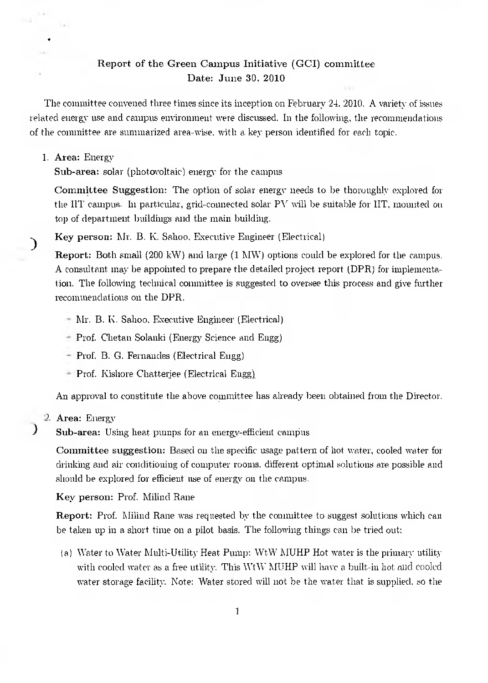# Report of the Green Campus Initiative (GCI) committee Date: June 30, 2010

The committee convened three times since its inception on February 24, 2010. A variety of issues related energy use and campus environment were discussed. In the following, the recommendations of the committee are summarized area-wise, with a key person identified for each topic.

## 1. Area: Energy

€

 $\mathcal{Y}$ 

Sub-area: solar (photovoltaic) energy for the campus

**Committee Suggestion:** The option of solar energy needs to be thoroughly explored for the HT campus. In particular, grid-connected solar  $PV$  will be suitable for HT, mounted on top of department buildings and the main building.

**Key person:** Mr. B. K. Sahoo, Executive Engineer (Electrical)

**Report:** Both small (200 kW) and large (1 MW) options could be explored for the campus. A consultant may be appointed to prepare the detailed project report (DPR) for implementation. The following technical committee is suggested to oversee this process and give further recommendations on the DPR.

- Mr. B. E. Sahoo, Executive Engineer (Electrical)
- Prof. Chetan Solanki (Energy Science and Engg)
- Prof. B. G. Fernandes (Electrical Engg)
- Prof. Kishore Chatterjee (Electrical Engg).

An approval to constitute the above committee has already been obtained from the Director.

9. **Area:** Energy

**Sub-area:** Using heat pumps for an energy-efficient campus

**Committee suggestion:** Based on the specific usage pattern of hot water, cooled water for drinking and air conditioning of computer rooms. different optimal solutions are possible and should be explored for efficient use of energy on the campus.

**Key person:** Prof. Milind **Ram** 

**Report:** Prof. Milind Rane was requested by the committee to suggest solutions which can be taken up in a short time on a pilot basis. The following things can be tried out:

t a) Water to Water Multi-Utility Heat Pump: WtW MUHP Hot water is the primary utility with cooled water as a free utility. This WtW MUHP will have a built-in hot and cooled water storage facility. Note: Water stored will not be the water that is supplied, so the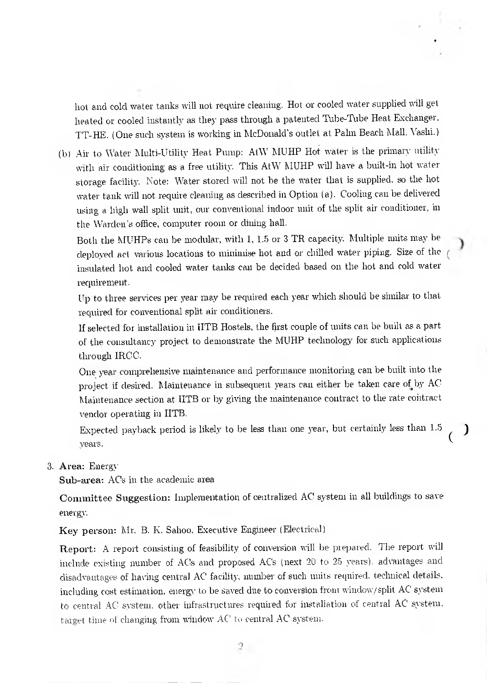hot and cold water tanks will not require cleaning. Hot or cooled water supplied will get heated or cooled instantly as they pass through a patented Tube-Tube Heat Exchanger. TT-HE. (One such system is working in McDonald's outlet at Palm Beach Mall, Vashi.)

(b) Air to Water Multi-Utility Heat Pump: MW MUHP Hot water is the primary utility with air conditioning as a free utility. This AtW MUHP will have a built-in hot water storage facility. Note: Water stored will not be the water that is supplied, so the hot water tank will not require cleaning as described in Option (a). Cooling can be delivered using a high wall split unit, our conventional indoor unit of the split air conditioner, in the Warden's office, computer room or dining hall.

Both the MUHPs can be modular, with 1, 1.5 or 3 TR capacity. Multiple units may be deployed act various locations to minimise hot and or chilled water piping. Size of the insulated hot and cooled water tanks can be decided based on the hot and cold water requirement.

J

Up to three services per year may be required each year which should be similar to that required for conventional split air conditioners.

If selected for installation in IITB Hostels, the first couple of units can be built as a part of the consultancy project to demonstrate the MUHP technology for such applications through IRCC.

One year comprehensive maintenance and performance monitoring can be built into the project if desired. Maintenance in subsequent years can either be taken care of by AC Maintenance section at IITB or by giving the maintenance contract to the rate contract vendor operating in IITB.

Expected payback period is likely to be less than one year, but certainly less than 1.5 years.

3. Area: Energy

Sub-area: ACs in the academic area

Committee Suggestion: Implementation of centralized AC system in all buildings to save energy.

Key person: Mr. B. K. Sahoo, Executive Engineer (Electrical)

Report: A report consisting of feasibility of conversion will be prepared. The report will include existing number of ACs and proposed AC's (next 20 to 25 years). advantages and disadvantages of having central AC' facility, number of such units required. technical details. including cost estimation, energy to be saved due to conversion from window/split AC' system to central AC system, other infrastructures required for installation of central AC' system, target time of changing from window AC' to central AC system.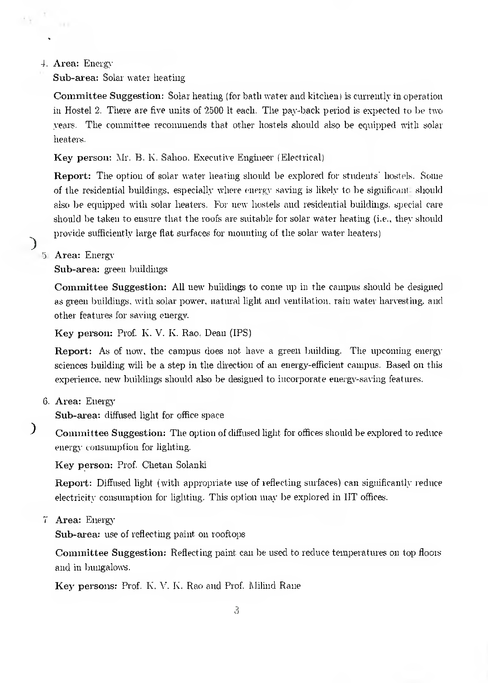### **4. Area:** Energy

Sub-area: Solar water heating

Committee Suggestion: Solar heating (for bath water and kitchen) is currently in operation in Hostel 2. There are five units of 2500 It each. The pay-back period is expected to be two years. The committee recommends that other hostels should also be equipped with solar heaters.

**Key person: Mr.** B. K. Sahoo. Executive Engineer (Electrical)

**Report:** The option of solar water heating should be explored for students' hostels. Some of the residential buildings, especially where energy saving is likely to be significant. should also be equipped with solar heaters. For new hostels and residential buildings, special care should be taken to ensure that the roofs are suitable for solar water heating (i.e., they should provide sufficiently large flat surfaces for mounting of the solar water heaters)

**5. Area:** Energy

**Sub-area:** green buildings

**Committee Suggestion:** All new buildings to come up in the campus should be designed as green buildings, with solar power, natural light and ventilation, rain water harvesting, and other features for saving energy.

**Key person: Prof. K.** V. **K.** Rao, Dean (IPS)

**Report:** As of now, the campus does not have a green building. The upcoming energy sciences building will be a step in the direction of an energy-efficient campus. Based on this experience, new buildings should also be designed to incorporate energy-saving features.

**6. Area:** Energy

**Sub-area:** diffused light for office space

 $\big)$ **Committee Suggestion:** The option of diffused light for offices should be explored to reduce energy consumption for lighting.

**Key person:** Prof. Chetan Solanki

**Report:** Diffused light (with appropriate use of reflecting surfaces) can significantly reduce electricity consumption for lighting. This option may be explored in HT offices.

**7. Area:** Energy

**Sub-area:** use of reflecting paint on rooftops

**Committee Suggestion:** Reflecting paint can be used to reduce temperatures on top floors and in bungalows.

**Key persons:** Prof. K. V. K. Rao and Prof. Milind Rane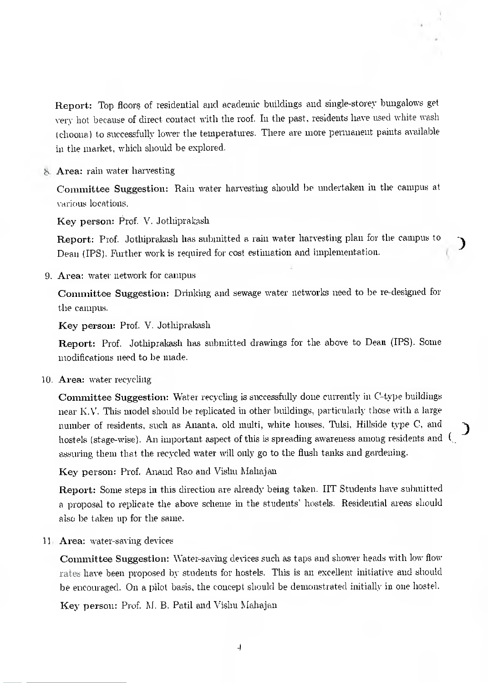Report: Top floors of residential and academic buildings and single-storey bungalows get very hot because of direct contact with the roof. In the past, residents have used white wash ( choona) to successfully lower the temperatures. There are more permanent paints available in the market, which should be explored.

8. Area: rain water harvesting

Committee Suggestion: Rain water harvesting should be undertaken in the campus at various locations.

Key person: Prof. V. Jothiprakash

Report: Prof. Jothiprakash has submitted a rain water harvesting plan for the campus to Dean (IPS). Further work is required for cost estimation and implementation.

9. Area: water network for campus

Committee Suggestion: Drinking and sewage water networks need to be re-designed for the campus.

Key person: Prof. V. Jothiprakash

Report: Prof. Jothiprakash has submitted drawings for the above to Dean (IPS). Some modifications need to be made.

10. Area: water recycling

Committee Suggestion: Water recycling is successfully done currently in C-type buildings near K.V. This model should be replicated in other buildings, particularly those with a large number of residents, such as Ananta, old multi, white houses, Tulsi, Hillside type C, and hostels (stage-wise). An important aspect of this is spreading awareness among residents and ( assuring them that the recycled water will only go to the flush tanks and gardening.

Key person: Prof. Anand Rao and Vishu Mahajan

Report: Some steps in this direction are already being taken. HT Students have submitted a proposal to replicate the above scheme in the students' hostels. Residential areas should also be taken up for the same.

11. Area: water-saving devices

Committee Suggestion: Water-saving devices such as taps and shower heads with low flow rates have been proposed by students for hostels. This is an excellent initiative and should he encouraged. On a pilot basis, the concept should be demonstrated initially in one hostel.

Key person: Prof. M. B. Patil and Vishu Mahajau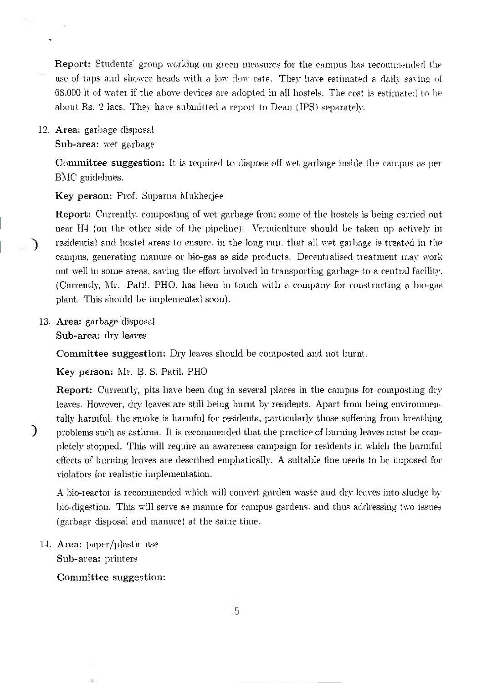Report: Students' group working on green measures for the campus has recommended the use of taps and shower heads with a low flow rate. They have estimated a daily saving of 68.000 It of water if the above devices are adopted in all hostels. The cost is estimated to be about Rs. 2 lacs. They have submitted a report to Dean (IPS) separately.

12. Area: garbage disposal Sub-area: wet garbage

> Committee suggestion: It is required to dispose off wet garbage inside the campus as per BMC guidelines.

Key person: Prof. Suparna Mukherjee

Report: Currently, composting of wet garbage from some of the hostels is being carried out near  $H4$  (on the other side of the pipeline). Vermiculture should be taken up actively in residential and hostel areas to ensure, in the long run. that all wet garbage is treated in the campus, generating manure or bio-gas as side products. Decentralised treatment may work out well in some areas, saving the effort involved in transporting garbage to a central facility. (Currently, Mr. Patti. PHO, has been in touch with a company for constructing a bio-gas plant. This should be implemented soon).

13. Area: garbage disposal Sub-area: dry leaves

J

 $\lambda$ 

Committee suggestion: Dry leaves should be composted and not burnt.

Key person: Mr. B. S. Patil. PHO

Report: Currently, pits have been dug in several places in the campus for composting dry leaves. However, dry leaves are still being burnt by residents. Apart from being environmentally harmful, the smoke is harmful for residents, particularly those suffering from breathing problems such as asthma. It is recommended that the practice of burning leaves must be completely stopped. This will require an awareness campaign for residents in which the harmful effects of burning leaves are described emphatically. A suitable fine needs to be imposed for violators for realistic implementation.

A bio-reactor is recommended which will convert garden waste and dry leaves into sludge by bio-digestion. This will serve as manure for campus gardens. and thus addressing two issues (garbage disposal and manure) at the same time.

14. Area: paper/plastic use Sub-area: printers

## Committee suggestion: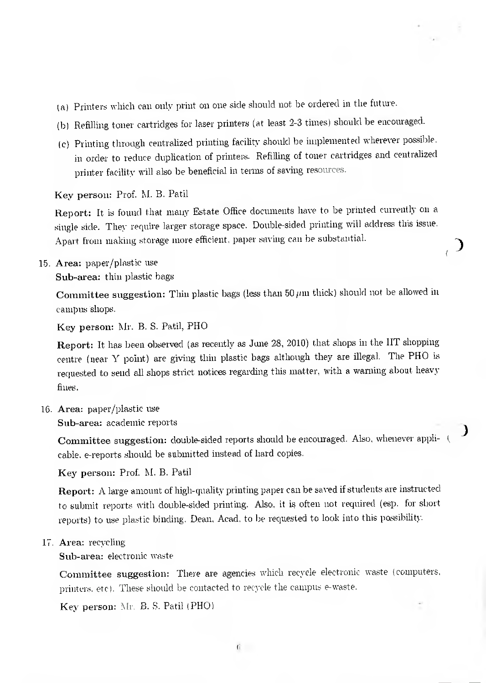- (a) Printers which can only print on one side should not be ordered in the future.
- (b) Refilling toner cartridges for laser printers (at least 2-3 times) should be encouraged.
- (c) Printing through centralized printing facility should be implemented wherever possible. in order to reduce duplication of printers. Refilling of toner cartridges and centralized printer facility will also be beneficial in terms of saving resources.

Key person: Prof. M. B. Patil

Report: It is found that many Estate Office documents have to be printed currently on a single side. They require larger storage space. Double-sided printing will address tins issue. Apart from making storage more efficient, paper saving can be substantial.

15. Area: paper/plastic use Sub-area: thin plastic bags

> Committee suggestion: Thin plastic bags (less than 50  $\mu$ m thick) should not be allowed in campus shops.

Key person: Mr. B. S. Patil, PHO

Report: It has been observed (as recently as June 28, 2010) that shops in the IIT shopping centre (near Y point) are giving thin plastic bags although they are illegal. The PHO is requested to send all shops strict notices regarding this matter, with a warning about heavy fines.

16. Area: paper/plastic use

Sub-area: academic reports

Committee suggestion: double-sided reports should be encouraged. Also, whenever applicable. e-reports should be submitted instead of hard copies.

Key person: Prof. M. B. Patil

Report: A large amount of high-quality printing paper can be saved if students are instructed to submit reports with double-sided printing. Also, it is often not required (esp. for short reports) to use plastic binding. Dean, Acad, to be requested to look into this possibility.

17. Area: recycling

Sub-area: electronic waste

Committee suggestion: There are agencies which recycle electronic waste (computers, printers. etc). These should be contacted to recycle the campus e-waste.

Key person: Mr. B. S. Patil (PHO)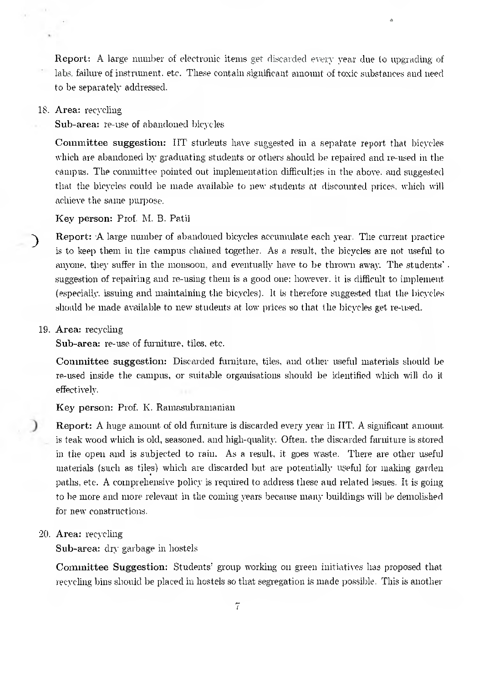Report: A large number of electronic items get discarded every year due to upgrading of labs. failure of instrument. etc. These contain significant amount of toxic substances and need to be separately addressed.

### 18. Area: recycling

Sub-area: re-use of abandoned bicycles

Committee suggestion: ITT students have suggested in a sepatate report that bicycles which are abandoned by graduating students or others should be repaired and re-used in the campus. The committee pointed out implementation difficulties in the above. and suggested that the bicycles could be made available to new students at discounted prices, which will achieve the same purpose.

Key person: Prof. M. B. Patil

Report: .A large munber of abandoned bicycles accumulate each year. The current practice is to keep them in the campus chained together. As a result, the bicycles are not useful to anyone, they suffer in the monsoon, and eventually have to be thrown away. The students' . suggestion of repairing and re-using them is a good one; however. it is difficult to implement (especially. issuing and maintaining the bicycles). It is therefore suggested that the bicycles should be made available to new students at low prices so that the bicycles get re-used.

### 19. Area: recycling

 $\mathcal{E}$ 

Sub-area: re-use of furniture, tiles, etc.

Committee suggestion: Discarded furniture, tiles, and other useful materials should be re-used inside the campus, or suitable organisations should be identified which will do it effectively.

Key person: Prof. K. Ramasubramanian

Report: A huge amount of old furniture is discarded every year in HT. A significant amount is teak wood which is old, seasoned, and high-quality. Often, the discarded furniture is stored in the open and is subjected to rain. As a result, it goes waste. There are other useful materials (such as tiles) which are discarded but are potentially useful for making garden paths, etc. A comprehensive policy is required to address these and related issues. It is going to be more and more relevant in the coming years because many buildings will be demolished for new constructions.

20. Area: recycling

Sub-area: dry garbage in hostels

Committee Suggestion: Students' group working on green initiatives has proposed that recycling bins should be placed in hostels so that segregation is made possible. This is another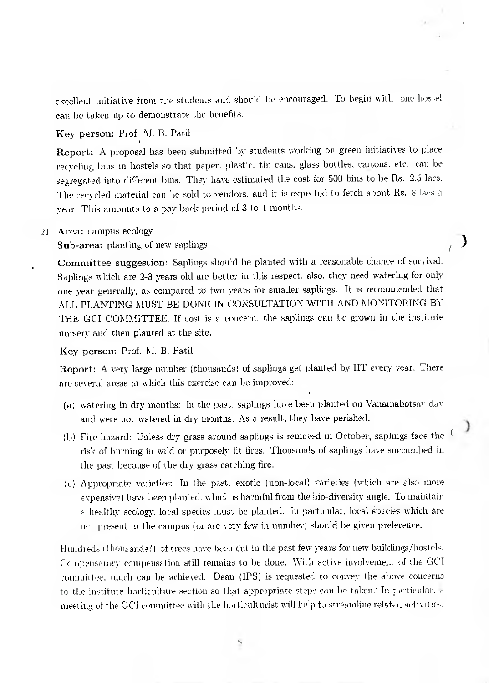excellent initiative from the students and should be encouraged. To begin with. one hostel can be taken up to demonstrate the benefits.

Key person: Prof. M. B. Patil

Report: A proposal has been submitted by students working on green initiatives to place recycling bins in hostels so that paper. plastic. tin cans, glass bottles, cartons. etc. can be segregated into different bins. They have estiniated the cost for 500 bins to be Rs. 2.5 lacs. The recycled material can be sold to vendors, and it is expected to fetch about Rs. 8 lacs a year. This amounts to a pay-back period of  $3$  to  $4$  months.

91. Area: campus ecology

Sub-area: planting of new saplings

Committee suggestion: Saplings should be planted with a reasonable chance of survival. Saplings which are 2-3 years old are better in this respect: also, they need watering for only one year generally, as compared to two years for smaller saplings. It is recommended that ALL PLANTING MUST BE DONE IN CONSULTATION WITH AND MONITORING BY THE GCI COMMITTEE. If cost is a concern, the saplings can be grown in the institute nursery and then planted at the site.

℩

€

Key person: Prof. M. B. Patil

Report: A very large number (thousands) of saplings get planted by HT every year. There are several areas in which this exercise can be improved:

- (a) watering in dry months: In the past. saplings have been planted on Vanamahotsav clay and were not watered in dry months. As a result, they have perished.
- (1) Fire hazard: Unless dry grass around saplings is removed in October, saplings face the risk of burning in wild or purposely ht fires. Thousands of saplings have succumbed in the past because of the dry grass catching fire.
- (c) Appropriate varieties: In the past. exotic (non-local) varieties (which are also more expensive) have been planted, which is harmful from the bio-diversity angle. To maintain a healthy ecology. local species must be planted. In particular. local species which are not present in the campus (or are very few in number) should be given preference.

Hundreds (thousands?) of trees have been cut in the past few years for new buildings/hostels. Compensatory compensation still remains to be clone. With active involvement of the C4C1 committee. much can be achieved. Dean (IPS) is requested to convey the above concerns to the institute horticulture section so that appropriate steps can be taken: In particular, a meeting of the GCI committee with the horticulturist will help to streamline related activities.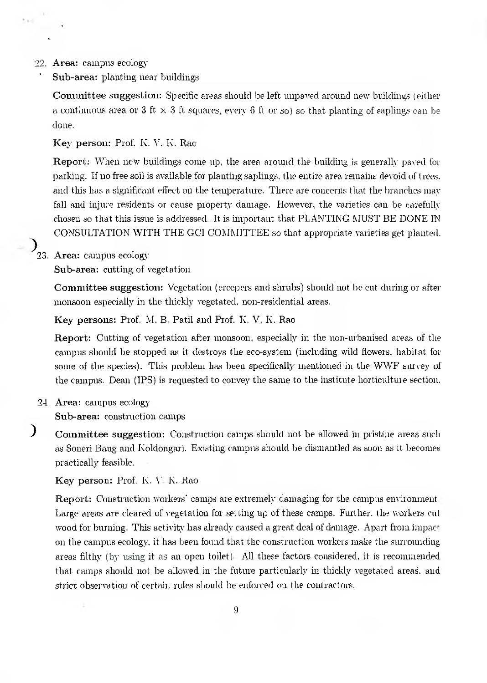### 22. Area: campus ecology

Sub-area: planting near buildings

Committee suggestion: Specific areas should be left unpaved around new buildings (either a continuous area or 3 ft  $\times$  3 ft squares, every 6 ft or so) so that planting of saplings can be done.

Key person: Prof. K. V. K. Rao

Report: When new buildings come up, the area around the building is generally paved for parking. If no free soil is available for planting saplings, tie entire area remains devoid of trees. and this has a significant effect on the temperature. There are concerns that the branches may fall and injure residents or cause property damage. However, the varieties can be carefully chosen 80 that this issue is addressed. It is important that PLANTING MUST BE DONE IN CONSULTATION WITH THE GUI COMMITTEE so that appropriate varieties get planted.

# $\sum_{23. \text{ Area:} \text{ campus ecology}}$

Sub-area: cutting of vegetation

Committee suggestion: Vegetation (creepers and shrubs) should not be cut during or after monsoon especially in the thickly vegetated, non-residential areas.

Key persons: Prof. M. B. Patil and Prof. K. V. K. Rao

Report: Cutting of vegetation after monsoon, especially in the non-urbanised areas of the campus should be stopped as it destroys the eco-system (including wild flowers, habitat for some of the species). This problem has been specifically mentioned in the WWF survey of the campus. Dean (IPS) is requested to convey the same to the institute horticulture section.

24. Area: campus ecology

Sub-area: construction camps

 $\big)$ Committee suggestion: Construction camps should not be allowed in pristine areas such as Soneri Bang and Koldongari. Existing campus should be dismantled as soon as it becomes practically feasible. •

Key person: Prof. K. V. K. Rao

**Report:** Construction workers' camps are extremely damaging for the campus environment. Large areas are cleared of vegetation for setting up of these camps. Further. the workers cut wood for burning. This activity has already caused a great deal of damage. Apart from impact on the campus ecology, it has been found that the construction workers make the surrounding areas filthy (by using it as an open toilet). All these factors considered, it is recommended that camps should not be allowed in the future particularly in thickly vegetated areas, and strict observation of certain rules should be enforced on the contractors.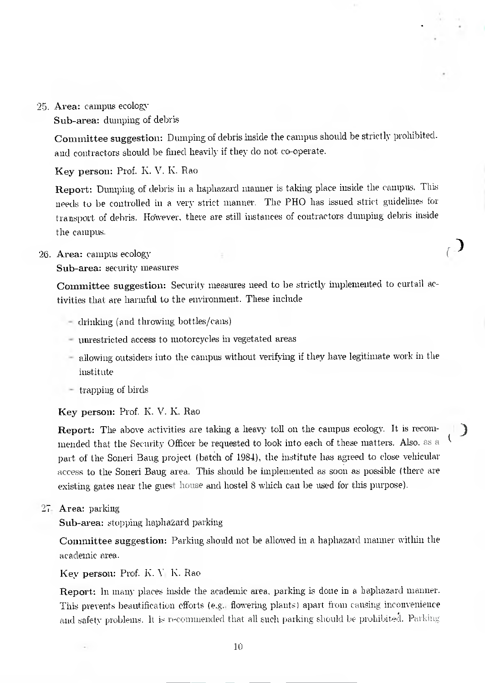95. Area: campus ecology

Sub-area: dumping of debris

Committee suggestion: Dumping of debris inside the campus should be strictly prohibited. and contractors should be fined heavily if they do not co-operate.

Key person: Prof. K. V. K. Rao

Report: Dumping of debris in a haphazard manner is taking place inside the campus. This needs to be controlled in a very strict manner. The PHO has issued strict guidelines for transport of debris. However, there are still instances of contractors dumping debris inside the campus.

 $\mathcal{C}$ 

### 26. Area: campus ecology

Sub-area: security measures

Committee suggestion: Security measures need to be strictly implemented to curtail activities that are harmful to the environment. These include

- drinking (and throwing bottles/cans)
- unrestricted access to motorcycles in vegetated areas
- allowing outsiders into the campus without verifying if they have legitimate work in the institute
- trapping of birds

**Key person:** Prof. K. V. K. Rao

**Report:** The above activities are taking a heavy toll on the campus ecology. It is recommended that the Security Officer be requested to look into each of these matters. Also. as a Part of the Soneri Haug project (batch of 1984), the institute has agreed to close vehicular access to the Soneri Bang area. This should be implemented as soon as possible (there are existing gates near the guest house and hostel 8 which can be used for this purpose).

27. **Area:** parking

**Sub-area:** stopping haphazard parking

**Committee suggestion:** Parking should not be allowed in a haphazard manner within the academic area.

Key person: Prof. K. V. K. Rao

Report: In many places inside the academic area, parking is done in a haphazard manner. This prevents beautification efforts (e.g.. flowering plants) apart from causing inconvenience and safety problems. It is recommended that all such parking should be prohibited. Parking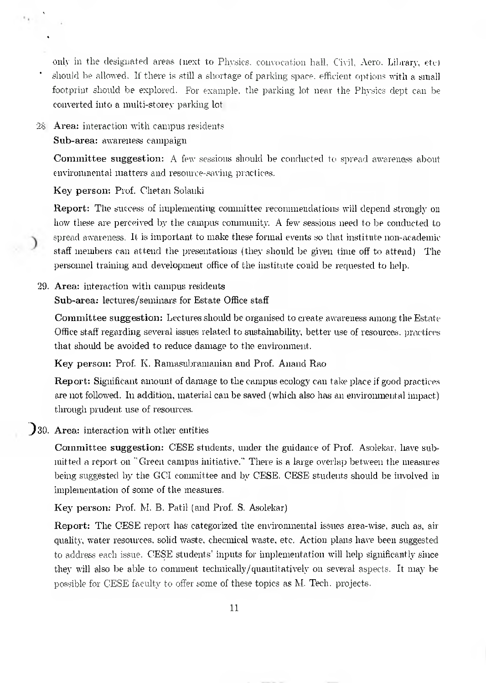only in the designated areas (next to Physics, convocation hall, Civil, Aero. Library, etc) should be allowed. If there is still a shortage of parking space, efficient options with a small footprint should be explored. For example. the parking lot near the Physics dept can be converted into a multi-storey parking lot.

# 28 Area: interaction with campus residents

Sub-area: awareness campaign

Committee suggestion: A few sessions should be conducted to spread awareness about environmental matters and resource-saving practices.

Key person: Prof. Chet an Solanki

Report: The success of implementing committee recommendations will depend strongly on how these are perceived by the campus community. A few sessions need to be conducted to spread awareness. It is important to make these formal events so that institute non-academic staff members can attend the presentations (they should be given time off to attend). The personnel training and development office of the institute could be requested to help.

## 29. Area: interaction with campus residents

Sub-area: lectures/seminars for Estate Office staff

Committee suggestion: Lectures should be organised to create awareness among the Estate Office staff regarding several issues related to sustainability, better use of resources. practices that should be avoided to reduce damage to the environment.

Key person: Prof. K. Ramasubramanian and Prof. Anand Rao

Report: Significant amount of damage to the campus ecology can take place if good practices are not followed. In addition, material can be saved (which also has an environmental impact) through prudent use of resources.

# )30. Area: interaction with other entities

Committee suggestion: CESE students, under the guidance of Prof. Asolekar, have submitted a report on "Green campus mitiative." There is a large overlap between the measures being suggested by the GCI committee and by CESE. CESE students should be involved in implementation of some of the measures.

Key person: Prof. M. B. Patil (and Prof. S. Asolekar)

Report: The CESE report has categorized the environmental issues area-wise, such as, air quality, water resources, solid waste, cheernical waste, etc. Action plans have been suggested to address each issue. CESE students' inputs for implementation will help significantly since they will also be able to comment technically/quantitatively on several aspects. It may be possible for CESE faculty to offer some of these topics as M. Tech. projects.